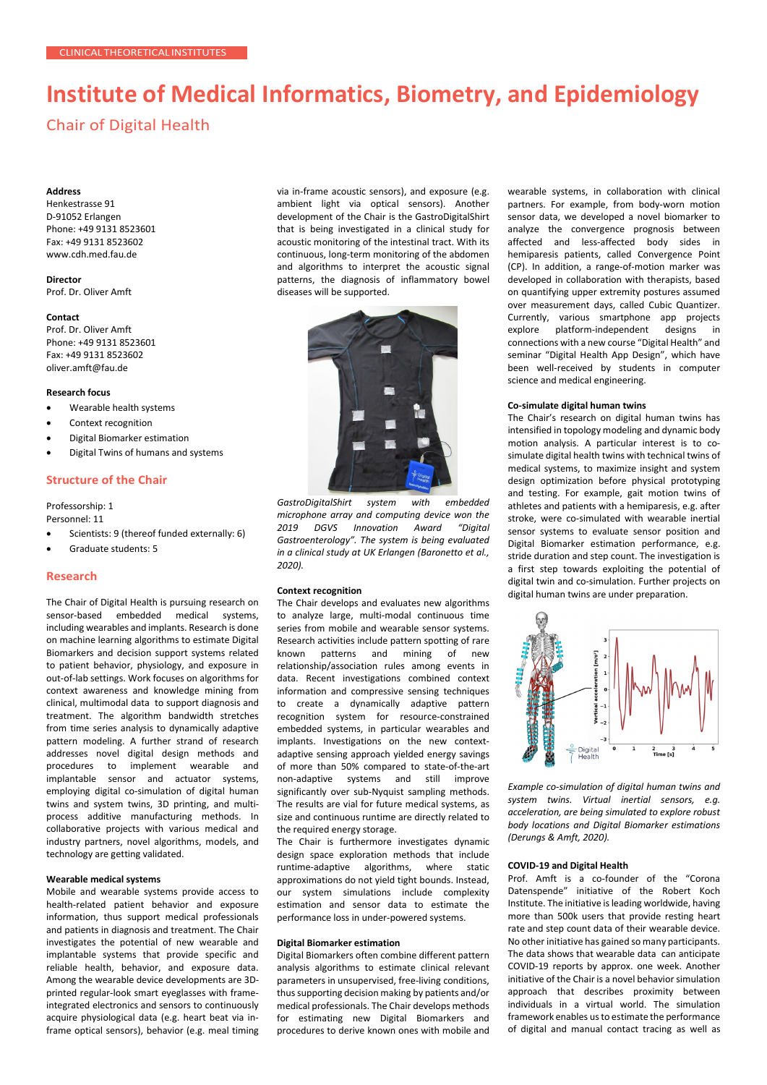# **Institute of Medical Informatics, Biometry, and Epidemiology**

# Chair of Digital Health

# **Address**

Henkestrasse 91 D-91052 Erlangen Phone: +49 9131 8523601 Fax: +49 9131 8523602 [www.cdh.med.fau.de](http://www.cdh.med.fau.de/)

# **Director**

Prof. Dr. Oliver Amft

#### **Contact**

Prof. Dr. Oliver Amft Phone: +49 9131 8523601 Fax: +49 9131 8523602 [oliver.amft@fau.de](mailto:oliver.amft@fau.de)

#### **Research focus**

- Wearable health systems
- Context recognition
- Digital Biomarker estimation
- Digital Twins of humans and systems

#### **Structure of the Chair**

Professorship: 1

- Personnel: 11
- Scientists: 9 (thereof funded externally: 6)
- Graduate students: 5

#### **Research**

The Chair of Digital Health is pursuing research on sensor-based embedded medical systems, including wearables and implants. Research is done on machine learning algorithms to estimate Digital Biomarkers and decision support systems related to patient behavior, physiology, and exposure in out-of-lab settings. Work focuses on algorithms for context awareness and knowledge mining from clinical, multimodal data to support diagnosis and treatment. The algorithm bandwidth stretches from time series analysis to dynamically adaptive pattern modeling. A further strand of research addresses novel digital design methods and procedures to implement wearable and implantable sensor and actuator systems, employing digital co-simulation of digital human twins and system twins, 3D printing, and multiprocess additive manufacturing methods. In collaborative projects with various medical and industry partners, novel algorithms, models, and technology are getting validated.

# **Wearable medical systems**

Mobile and wearable systems provide access to health-related patient behavior and exposure information, thus support medical professionals and patients in diagnosis and treatment. The Chair investigates the potential of new wearable and implantable systems that provide specific and reliable health, behavior, and exposure data. Among the wearable device developments are 3Dprinted regular-look smart eyeglasses with frameintegrated electronics and sensors to continuously acquire physiological data (e.g. heart beat via inframe optical sensors), behavior (e.g. meal timing via in-frame acoustic sensors), and exposure (e.g. ambient light via optical sensors). Another development of the Chair is the GastroDigitalShirt that is being investigated in a clinical study for acoustic monitoring of the intestinal tract. With its continuous, long-term monitoring of the abdomen and algorithms to interpret the acoustic signal patterns, the diagnosis of inflammatory bowel diseases will be supported.



*GastroDigitalShirt system with embedded microphone array and computing device won the 2019 DGVS Innovation Award "Digital Gastroenterology". The system is being evaluated in a clinical study at UK Erlangen (Baronetto et al., 2020).*

### **Context recognition**

The Chair develops and evaluates new algorithms to analyze large, multi-modal continuous time series from mobile and wearable sensor systems. Research activities include pattern spotting of rare known patterns and mining of new relationship/association rules among events in data. Recent investigations combined context information and compressive sensing techniques to create a dynamically adaptive pattern recognition system for resource-constrained embedded systems, in particular wearables and implants. Investigations on the new contextadaptive sensing approach yielded energy savings of more than 50% compared to state-of-the-art non-adaptive systems and still improve significantly over sub-Nyquist sampling methods. The results are vial for future medical systems, as size and continuous runtime are directly related to the required energy storage.

The Chair is furthermore investigates dynamic design space exploration methods that include runtime-adaptive algorithms, where static approximations do not yield tight bounds. Instead, our system simulations include complexity estimation and sensor data to estimate the performance loss in under-powered systems.

#### **Digital Biomarker estimation**

Digital Biomarkers often combine different pattern analysis algorithms to estimate clinical relevant parameters in unsupervised, free-living conditions, thus supporting decision making by patients and/or medical professionals. The Chair develops methods for estimating new Digital Biomarkers and procedures to derive known ones with mobile and

wearable systems, in collaboration with clinical partners. For example, from body-worn motion sensor data, we developed a novel biomarker to analyze the convergence prognosis between affected and less-affected body sides in hemiparesis patients, called Convergence Point (CP). In addition, a range-of-motion marker was developed in collaboration with therapists, based on quantifying upper extremity postures assumed over measurement days, called Cubic Quantizer. Currently, various smartphone app projects explore platform-independent designs in connections with a new course "Digital Health" and seminar "Digital Health App Design", which have been well-received by students in computer science and medical engineering.

#### **Co-simulate digital human twins**

The Chair's research on digital human twins has intensified in topology modeling and dynamic body motion analysis. A particular interest is to cosimulate digital health twins with technical twins of medical systems, to maximize insight and system design optimization before physical prototyping and testing. For example, gait motion twins of athletes and patients with a hemiparesis, e.g. after stroke, were co-simulated with wearable inertial sensor systems to evaluate sensor position and Digital Biomarker estimation performance, e.g. stride duration and step count. The investigation is a first step towards exploiting the potential of digital twin and co-simulation. Further projects on digital human twins are under preparation.



*Example co-simulation of digital human twins and system twins. Virtual inertial sensors, e.g. acceleration, are being simulated to explore robust body locations and Digital Biomarker estimations (Derungs & Amft, 2020).*

#### **COVID-19 and Digital Health**

Prof. Amft is a co-founder of the "Corona Datenspende" initiative of the Robert Koch Institute. The initiative is leading worldwide, having more than 500k users that provide resting heart rate and step count data of their wearable device. No other initiative has gained so many participants. The data shows that wearable data can anticipate COVID-19 reports by approx. one week. Another initiative of the Chair is a novel behavior simulation approach that describes proximity between individuals in a virtual world. The simulation framework enables us to estimate the performance of digital and manual contact tracing as well as